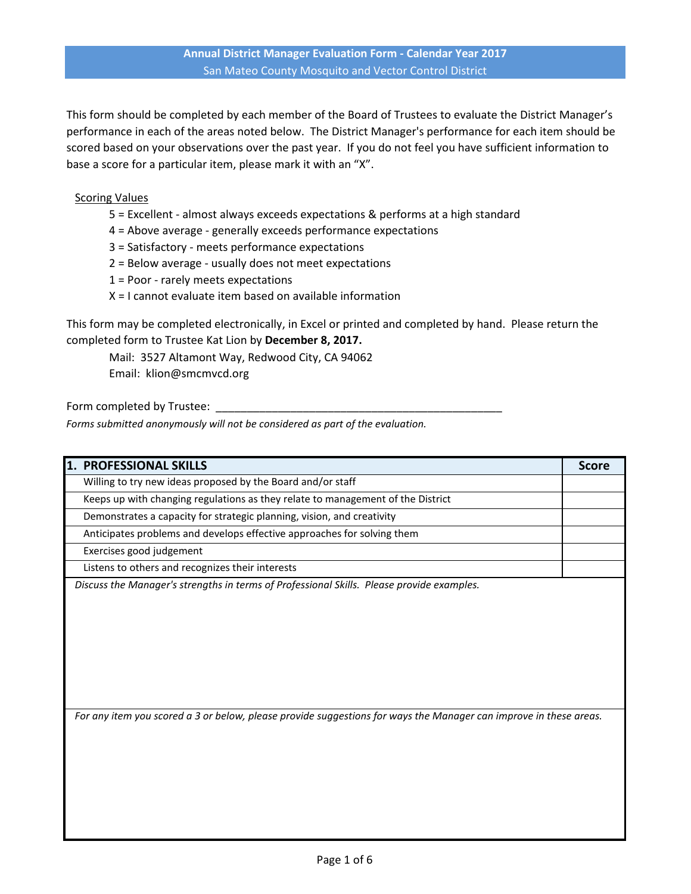This form should be completed by each member of the Board of Trustees to evaluate the District Manager's performance in each of the areas noted below. The District Manager's performance for each item should be scored based on your observations over the past year. If you do not feel you have sufficient information to base a score for a particular item, please mark it with an "X".

## Scoring Values

- 5 = Excellent almost always exceeds expectations & performs at a high standard
- 4 = Above average generally exceeds performance expectations
- 3 = Satisfactory meets performance expectations
- 2 = Below average usually does not meet expectations
- 1 = Poor rarely meets expectations
- X = I cannot evaluate item based on available information

This form may be completed electronically, in Excel or printed and completed by hand. Please return the completed form to Trustee Kat Lion by **December 8, 2017.** 

Mail: 3527 Altamont Way, Redwood City, CA 94062 Email: klion@smcmvcd.org

Form completed by Trustee:

*Forms submitted anonymously will not be considered as part of the evaluation.*

| 1. PROFESSIONAL SKILLS                                                                                            | <b>Score</b> |
|-------------------------------------------------------------------------------------------------------------------|--------------|
| Willing to try new ideas proposed by the Board and/or staff                                                       |              |
| Keeps up with changing regulations as they relate to management of the District                                   |              |
| Demonstrates a capacity for strategic planning, vision, and creativity                                            |              |
| Anticipates problems and develops effective approaches for solving them                                           |              |
| Exercises good judgement                                                                                          |              |
| Listens to others and recognizes their interests                                                                  |              |
|                                                                                                                   |              |
| For any item you scored a 3 or below, please provide suggestions for ways the Manager can improve in these areas. |              |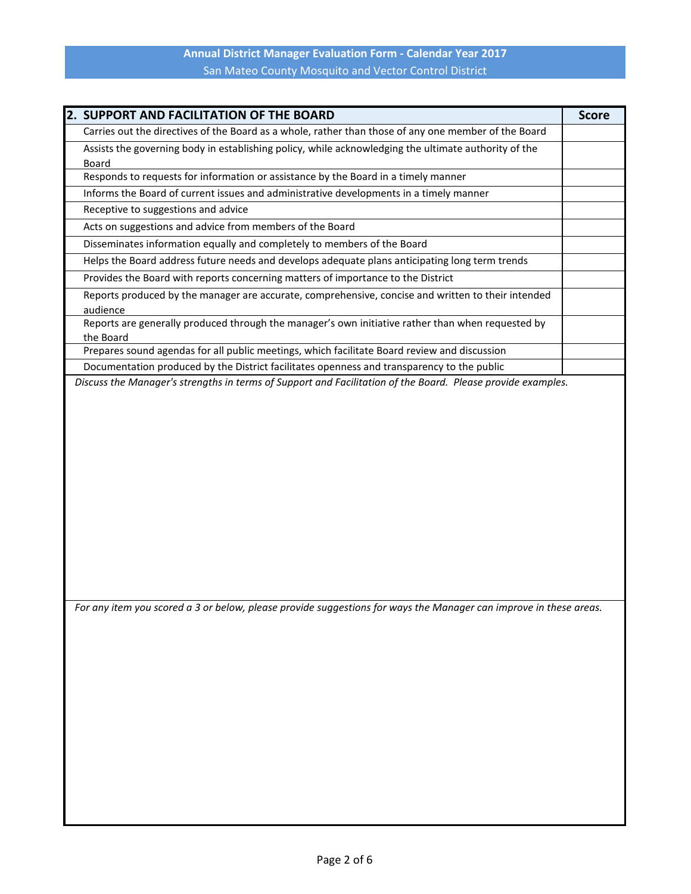| 2. SUPPORT AND FACILITATION OF THE BOARD                                                                             | <b>Score</b> |
|----------------------------------------------------------------------------------------------------------------------|--------------|
| Carries out the directives of the Board as a whole, rather than those of any one member of the Board                 |              |
| Assists the governing body in establishing policy, while acknowledging the ultimate authority of the<br><b>Board</b> |              |
| Responds to requests for information or assistance by the Board in a timely manner                                   |              |
| Informs the Board of current issues and administrative developments in a timely manner                               |              |
| Receptive to suggestions and advice                                                                                  |              |
| Acts on suggestions and advice from members of the Board                                                             |              |
| Disseminates information equally and completely to members of the Board                                              |              |
| Helps the Board address future needs and develops adequate plans anticipating long term trends                       |              |
| Provides the Board with reports concerning matters of importance to the District                                     |              |
| Reports produced by the manager are accurate, comprehensive, concise and written to their intended<br>audience       |              |
| Reports are generally produced through the manager's own initiative rather than when requested by                    |              |
| the Board                                                                                                            |              |
| Prepares sound agendas for all public meetings, which facilitate Board review and discussion                         |              |
| Documentation produced by the District facilitates openness and transparency to the public                           |              |
| Discuss the Manager's strengths in terms of Support and Facilitation of the Board. Please provide examples.          |              |
| For any item you scored a 3 or below, please provide suggestions for ways the Manager can improve in these areas.    |              |
|                                                                                                                      |              |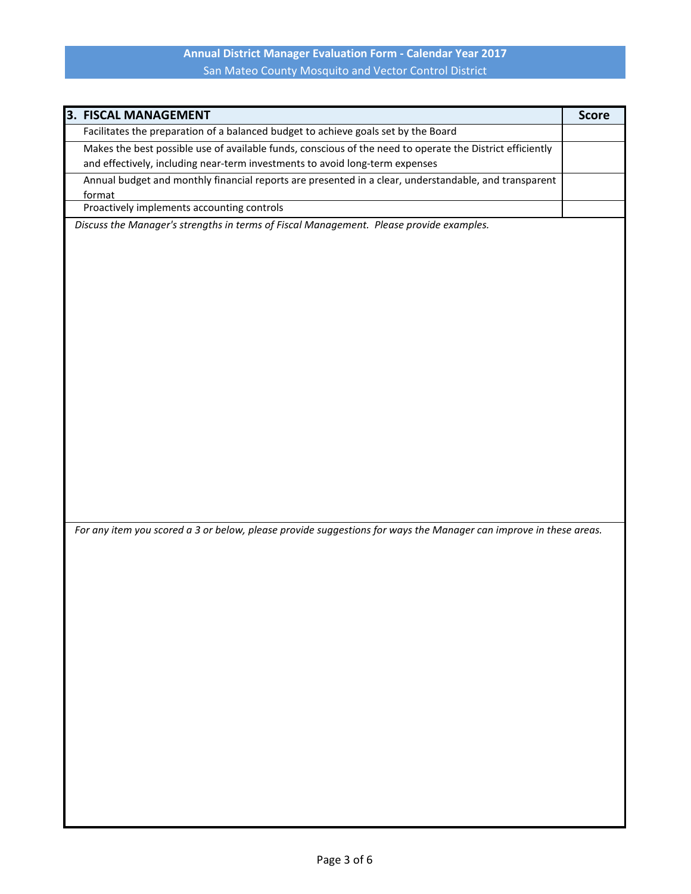| 3. FISCAL MANAGEMENT                                                                                              | <b>Score</b> |
|-------------------------------------------------------------------------------------------------------------------|--------------|
| Facilitates the preparation of a balanced budget to achieve goals set by the Board                                |              |
| Makes the best possible use of available funds, conscious of the need to operate the District efficiently         |              |
| and effectively, including near-term investments to avoid long-term expenses                                      |              |
| Annual budget and monthly financial reports are presented in a clear, understandable, and transparent             |              |
| format                                                                                                            |              |
| Proactively implements accounting controls                                                                        |              |
| Discuss the Manager's strengths in terms of Fiscal Management. Please provide examples.                           |              |
|                                                                                                                   |              |
|                                                                                                                   |              |
|                                                                                                                   |              |
|                                                                                                                   |              |
|                                                                                                                   |              |
|                                                                                                                   |              |
|                                                                                                                   |              |
|                                                                                                                   |              |
|                                                                                                                   |              |
|                                                                                                                   |              |
|                                                                                                                   |              |
|                                                                                                                   |              |
|                                                                                                                   |              |
|                                                                                                                   |              |
|                                                                                                                   |              |
|                                                                                                                   |              |
|                                                                                                                   |              |
|                                                                                                                   |              |
|                                                                                                                   |              |
|                                                                                                                   |              |
| For any item you scored a 3 or below, please provide suggestions for ways the Manager can improve in these areas. |              |
|                                                                                                                   |              |
|                                                                                                                   |              |
|                                                                                                                   |              |
|                                                                                                                   |              |
|                                                                                                                   |              |
|                                                                                                                   |              |
|                                                                                                                   |              |
|                                                                                                                   |              |
|                                                                                                                   |              |
|                                                                                                                   |              |
|                                                                                                                   |              |
|                                                                                                                   |              |
|                                                                                                                   |              |
|                                                                                                                   |              |
|                                                                                                                   |              |
|                                                                                                                   |              |
|                                                                                                                   |              |
|                                                                                                                   |              |
|                                                                                                                   |              |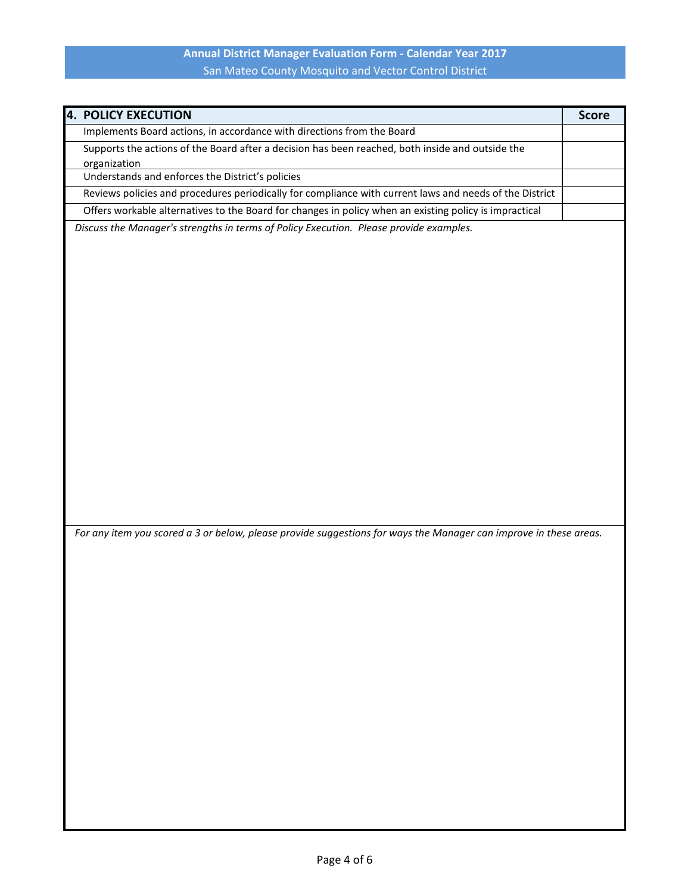| <b>4. POLICY EXECUTION</b>                                                                                        | <b>Score</b> |
|-------------------------------------------------------------------------------------------------------------------|--------------|
| Implements Board actions, in accordance with directions from the Board                                            |              |
| Supports the actions of the Board after a decision has been reached, both inside and outside the                  |              |
| organization                                                                                                      |              |
| Understands and enforces the District's policies                                                                  |              |
| Reviews policies and procedures periodically for compliance with current laws and needs of the District           |              |
| Offers workable alternatives to the Board for changes in policy when an existing policy is impractical            |              |
| Discuss the Manager's strengths in terms of Policy Execution. Please provide examples.                            |              |
|                                                                                                                   |              |
|                                                                                                                   |              |
|                                                                                                                   |              |
|                                                                                                                   |              |
|                                                                                                                   |              |
|                                                                                                                   |              |
|                                                                                                                   |              |
|                                                                                                                   |              |
|                                                                                                                   |              |
|                                                                                                                   |              |
|                                                                                                                   |              |
|                                                                                                                   |              |
|                                                                                                                   |              |
|                                                                                                                   |              |
|                                                                                                                   |              |
|                                                                                                                   |              |
|                                                                                                                   |              |
| For any item you scored a 3 or below, please provide suggestions for ways the Manager can improve in these areas. |              |
|                                                                                                                   |              |
|                                                                                                                   |              |
|                                                                                                                   |              |
|                                                                                                                   |              |
|                                                                                                                   |              |
|                                                                                                                   |              |
|                                                                                                                   |              |
|                                                                                                                   |              |
|                                                                                                                   |              |
|                                                                                                                   |              |
|                                                                                                                   |              |
|                                                                                                                   |              |
|                                                                                                                   |              |
|                                                                                                                   |              |
|                                                                                                                   |              |
|                                                                                                                   |              |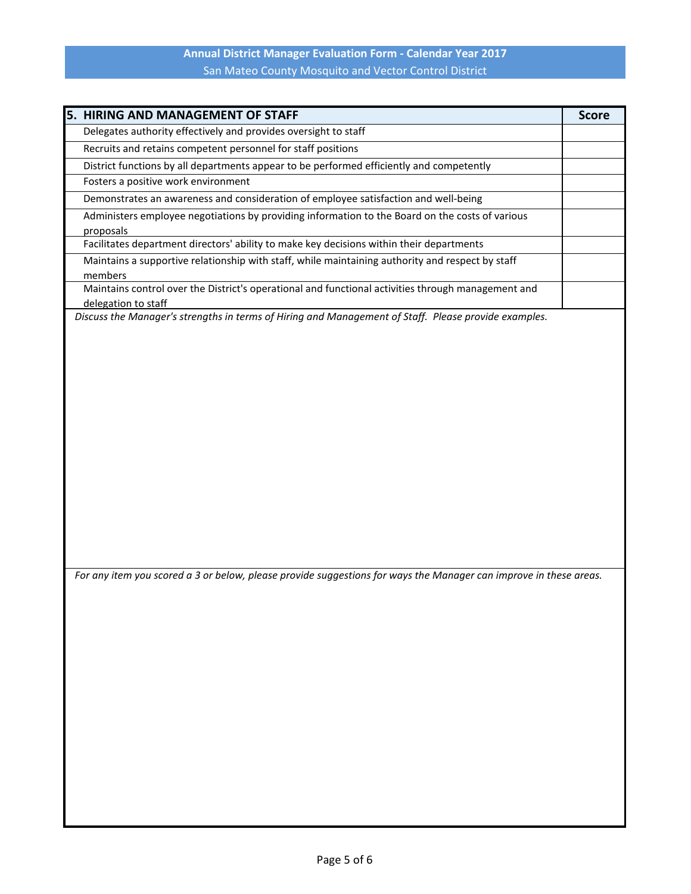| 5.<br><b>HIRING AND MANAGEMENT OF STAFF</b>                                                                       | <b>Score</b> |
|-------------------------------------------------------------------------------------------------------------------|--------------|
| Delegates authority effectively and provides oversight to staff                                                   |              |
| Recruits and retains competent personnel for staff positions                                                      |              |
| District functions by all departments appear to be performed efficiently and competently                          |              |
| Fosters a positive work environment                                                                               |              |
| Demonstrates an awareness and consideration of employee satisfaction and well-being                               |              |
| Administers employee negotiations by providing information to the Board on the costs of various                   |              |
| proposals                                                                                                         |              |
| Facilitates department directors' ability to make key decisions within their departments                          |              |
| Maintains a supportive relationship with staff, while maintaining authority and respect by staff                  |              |
| members<br>Maintains control over the District's operational and functional activities through management and     |              |
| delegation to staff                                                                                               |              |
| Discuss the Manager's strengths in terms of Hiring and Management of Staff. Please provide examples.              |              |
|                                                                                                                   |              |
|                                                                                                                   |              |
|                                                                                                                   |              |
|                                                                                                                   |              |
|                                                                                                                   |              |
|                                                                                                                   |              |
|                                                                                                                   |              |
|                                                                                                                   |              |
|                                                                                                                   |              |
|                                                                                                                   |              |
|                                                                                                                   |              |
|                                                                                                                   |              |
|                                                                                                                   |              |
|                                                                                                                   |              |
|                                                                                                                   |              |
| For any item you scored a 3 or below, please provide suggestions for ways the Manager can improve in these areas. |              |
|                                                                                                                   |              |
|                                                                                                                   |              |
|                                                                                                                   |              |
|                                                                                                                   |              |
|                                                                                                                   |              |
|                                                                                                                   |              |
|                                                                                                                   |              |
|                                                                                                                   |              |
|                                                                                                                   |              |
|                                                                                                                   |              |
|                                                                                                                   |              |
|                                                                                                                   |              |
|                                                                                                                   |              |